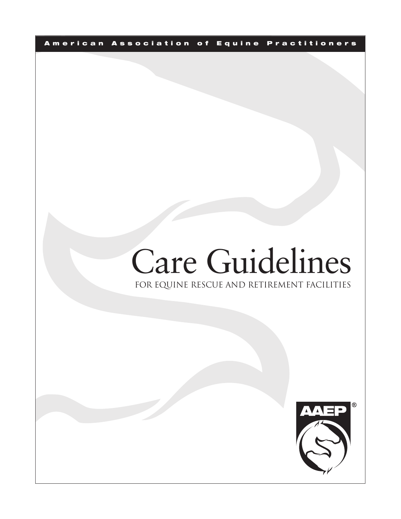A merican Association of Equine Practitioners

# FOR EQUINE RESCUE AND RETIREMENT FACILITIES Care Guidelines

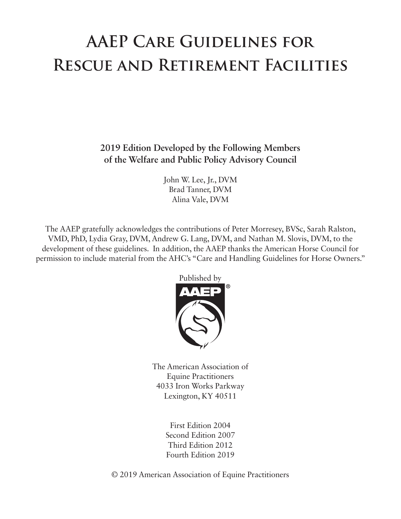# **AAEP Care Guidelines for Rescue and Retirement Facilities**

**2019 Edition Developed by the Following Members of the Welfare and Public Policy Advisory Council**

> John W. Lee, Jr., DVM Brad Tanner, DVM Alina Vale, DVM

The AAEP gratefully acknowledges the contributions of Peter Morresey, BVSc, Sarah Ralston, VMD, PhD, Lydia Gray, DVM, Andrew G. Lang, DVM, and Nathan M. Slovis, DVM, to the development of these guidelines. In addition, the AAEP thanks the American Horse Council for permission to include material from the AHC's "Care and Handling Guidelines for Horse Owners."



The American Association of Equine Practitioners 4033 Iron Works Parkway Lexington, KY 40511

> First Edition 2004 Second Edition 2007 Third Edition 2012 Fourth Edition 2019

© 2019 American Association of Equine Practitioners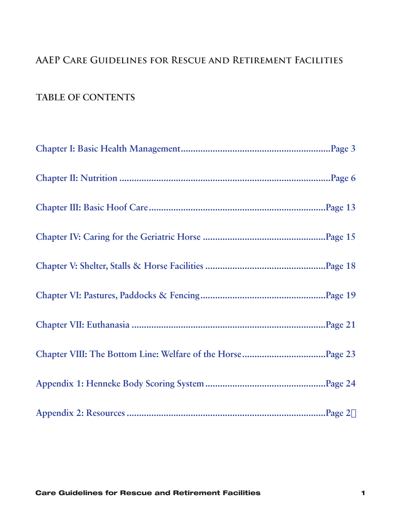## **AAEP Care Guidelines for Rescue and Retirement Facilities**

## **TABLE OF CONTENTS**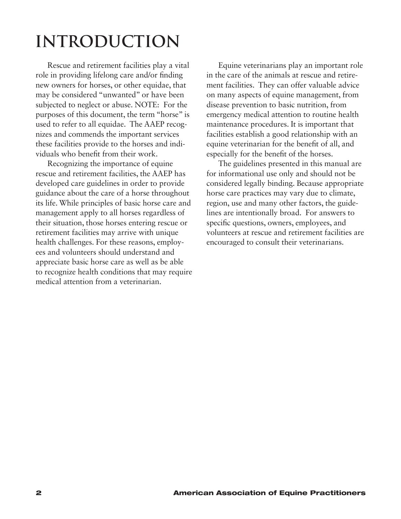# **INTRODUCTION**

Rescue and retirement facilities play a vital role in providing lifelong care and/or finding new owners for horses, or other equidae, that may be considered "unwanted" or have been subjected to neglect or abuse. NOTE: For the purposes of this document, the term "horse" is used to refer to all equidae. The AAEP recognizes and commends the important services these facilities provide to the horses and individuals who benefit from their work.

Recognizing the importance of equine rescue and retirement facilities, the AAEP has developed care guidelines in order to provide guidance about the care of a horse throughout its life. While principles of basic horse care and management apply to all horses regardless of their situation, those horses entering rescue or retirement facilities may arrive with unique health challenges. For these reasons, employees and volunteers should understand and appreciate basic horse care as well as be able to recognize health conditions that may require medical attention from a veterinarian.

Equine veterinarians play an important role in the care of the animals at rescue and retirement facilities. They can offer valuable advice on many aspects of equine management, from disease prevention to basic nutrition, from emergency medical attention to routine health maintenance procedures. It is important that facilities establish a good relationship with an equine veterinarian for the benefit of all, and especially for the benefit of the horses.

The guidelines presented in this manual are for informational use only and should not be considered legally binding. Because appropriate horse care practices may vary due to climate, region, use and many other factors, the guidelines are intentionally broad. For answers to specific questions, owners, employees, and volunteers at rescue and retirement facilities are encouraged to consult their veterinarians.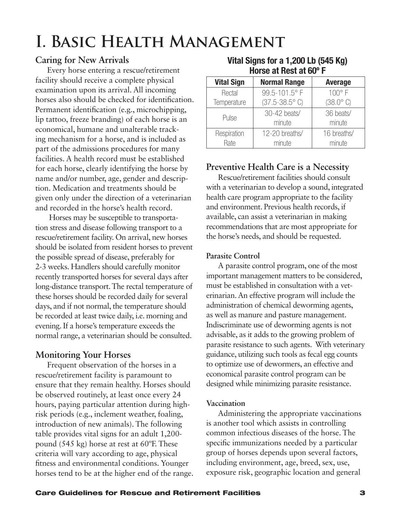## <span id="page-4-0"></span>**I. Basic Health Management**

## **Caring for New Arrivals**

Every horse entering a rescue/retirement facility should receive a complete physical examination upon its arrival. All incoming horses also should be checked for identification. Permanent identification (e.g., microchipping, lip tattoo, freeze branding) of each horse is an economical, humane and unalterable tracking mechanism for a horse, and is included as part of the admissions procedures for many facilities. A health record must be established for each horse, clearly identifying the horse by name and/or number, age, gender and description. Medication and treatments should be given only under the direction of a veterinarian and recorded in the horse's health record.

 Horses may be susceptible to transportation stress and disease following transport to a rescue/retirement facility. On arrival, new horses should be isolated from resident horses to prevent the possible spread of disease, preferably for 2-3 weeks. Handlers should carefully monitor recently transported horses for several days after long-distance transport. The rectal temperature of these horses should be recorded daily for several days, and if not normal, the temperature should be recorded at least twice daily, i.e. morning and evening. If a horse's temperature exceeds the normal range, a veterinarian should be consulted.

## **Monitoring Your Horses**

Frequent observation of the horses in a rescue/retirement facility is paramount to ensure that they remain healthy. Horses should be observed routinely, at least once every 24 hours, paying particular attention during highrisk periods (e.g., inclement weather, foaling, introduction of new animals). The following table provides vital signs for an adult 1,200 pound (545 kg) horse at rest at 60ºF. These criteria will vary according to age, physical fitness and environmental conditions. Younger horses tend to be at the higher end of the range.

| <b>Vital Sign</b> | <b>Normal Range</b>              | <b>Average</b>            |  |  |
|-------------------|----------------------------------|---------------------------|--|--|
| Rectal            | 99.5-101.5°F                     | $100^\circ$ F             |  |  |
| Temperature       | $(37.5 - 38.5^{\circ} \text{C})$ | $(38.0^{\circ} \text{C})$ |  |  |
| Pulse             | 30-42 beats/                     | 36 beats/                 |  |  |
|                   | minute                           | minute                    |  |  |
| Respiration       | 12-20 breaths/                   | 16 breaths/               |  |  |
| Rate              | minute                           | minute                    |  |  |

## **Preventive Health Care is a Necessity**

Rescue/retirement facilities should consult with a veterinarian to develop a sound, integrated health care program appropriate to the facility and environment. Previous health records, if available, can assist a veterinarian in making recommendations that are most appropriate for the horse's needs, and should be requested.

## **Parasite Control**

A parasite control program, one of the most important management matters to be considered, must be established in consultation with a veterinarian. An effective program will include the administration of chemical deworming agents, as well as manure and pasture management. Indiscriminate use of deworming agents is not advisable, as it adds to the growing problem of parasite resistance to such agents. With veterinary guidance, utilizing such tools as fecal egg counts to optimize use of dewormers, an effective and economical parasite control program can be designed while minimizing parasite resistance.

## **Vaccination**

Administering the appropriate vaccinations is another tool which assists in controlling common infectious diseases of the horse. The specific immunizations needed by a particular group of horses depends upon several factors, including environment, age, breed, sex, use, exposure risk, geographic location and general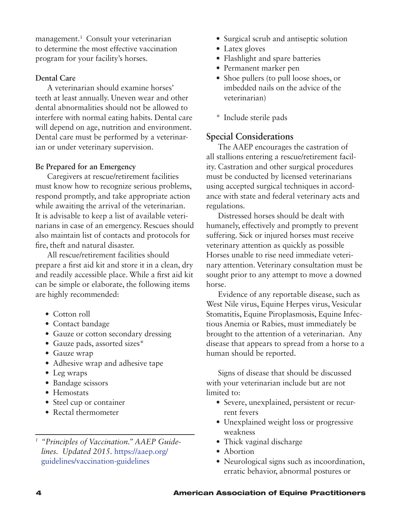management.<sup>1</sup> Consult your veterinarian to determine the most effective vaccination program for your facility's horses.

### **Dental Care**

A veterinarian should examine horses' teeth at least annually. Uneven wear and other dental abnormalities should not be allowed to interfere with normal eating habits. Dental care will depend on age, nutrition and environment. Dental care must be performed by a veterinarian or under veterinary supervision.

### **Be Prepared for an Emergency**

Caregivers at rescue/retirement facilities must know how to recognize serious problems, respond promptly, and take appropriate action while awaiting the arrival of the veterinarian. It is advisable to keep a list of available veterinarians in case of an emergency. Rescues should also maintain list of contacts and protocols for fire, theft and natural disaster.

All rescue/retirement facilities should prepare a first aid kit and store it in a clean, dry and readily accessible place. While a first aid kit can be simple or elaborate, the following items are highly recommended:

- Cotton roll
- Contact bandage
- Gauze or cotton secondary dressing
- Gauze pads, assorted sizes\*
- Gauze wrap
- Adhesive wrap and adhesive tape
- Leg wraps
- Bandage scissors
- Hemostats
- Steel cup or container
- Rectal thermometer
- • Surgical scrub and antiseptic solution
- Latex gloves
- Flashlight and spare batteries
- • Permanent marker pen
- Shoe pullers (to pull loose shoes, or imbedded nails on the advice of the veterinarian)
- \* Include sterile pads

## **Special Considerations**

The AAEP encourages the castration of all stallions entering a rescue/retirement facility. Castration and other surgical procedures must be conducted by licensed veterinarians using accepted surgical techniques in accordance with state and federal veterinary acts and regulations.

Distressed horses should be dealt with humanely, effectively and promptly to prevent suffering. Sick or injured horses must receive veterinary attention as quickly as possible Horses unable to rise need immediate veterinary attention. Veterinary consultation must be sought prior to any attempt to move a downed horse.

Evidence of any reportable disease, such as West Nile virus, Equine Herpes virus, Vesicular Stomatitis, Equine Piroplasmosis, Equine Infectious Anemia or Rabies, must immediately be brought to the attention of a veterinarian. Any disease that appears to spread from a horse to a human should be reported.

Signs of disease that should be discussed with your veterinarian include but are not limited to:

- • Severe, unexplained, persistent or recurrent fevers
- Unexplained weight loss or progressive weakness
- Thick vaginal discharge
- Abortion
- Neurological signs such as incoordination, erratic behavior, abnormal postures or

*<sup>1</sup> "Principles of Vaccination." AAEP Guidelines. Updated 2015.* https://aaep.org/ guidelines/vaccination-guidelines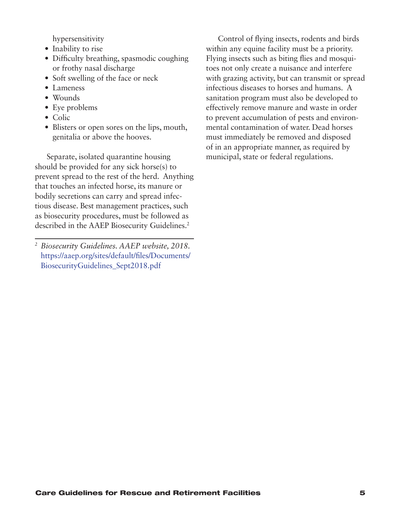hypersensitivity

- Inability to rise
- Difficulty breathing, spasmodic coughing or frothy nasal discharge
- Soft swelling of the face or neck
- Lameness
- Wounds
- Eye problems
- Colic
- Blisters or open sores on the lips, mouth, genitalia or above the hooves.

Separate, isolated quarantine housing should be provided for any sick horse(s) to prevent spread to the rest of the herd. Anything that touches an infected horse, its manure or bodily secretions can carry and spread infectious disease. Best management practices, such as biosecurity procedures, must be followed as described in the AAEP Biosecurity Guidelines.<sup>2</sup>

*<sup>2</sup> Biosecurity Guidelines. AAEP website, 2018.*  https://aaep.org/sites/default/files/Documents/ BiosecurityGuidelines\_Sept2018.pdf

Control of flying insects, rodents and birds within any equine facility must be a priority. Flying insects such as biting flies and mosquitoes not only create a nuisance and interfere with grazing activity, but can transmit or spread infectious diseases to horses and humans. A sanitation program must also be developed to effectively remove manure and waste in order to prevent accumulation of pests and environmental contamination of water. Dead horses must immediately be removed and disposed of in an appropriate manner, as required by municipal, state or federal regulations.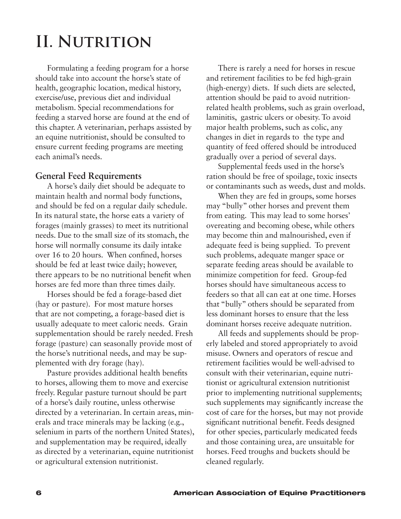# <span id="page-7-0"></span>**II. Nutrition**

Formulating a feeding program for a horse should take into account the horse's state of health, geographic location, medical history, exercise/use, previous diet and individual metabolism. Special recommendations for feeding a starved horse are found at the end of this chapter. A veterinarian, perhaps assisted by an equine nutritionist, should be consulted to ensure current feeding programs are meeting each animal's needs.

## **General Feed Requirements**

A horse's daily diet should be adequate to maintain health and normal body functions, and should be fed on a regular daily schedule. In its natural state, the horse eats a variety of forages (mainly grasses) to meet its nutritional needs. Due to the small size of its stomach, the horse will normally consume its daily intake over 16 to 20 hours. When confined, horses should be fed at least twice daily; however, there appears to be no nutritional benefit when horses are fed more than three times daily.

Horses should be fed a forage-based diet (hay or pasture). For most mature horses that are not competing, a forage-based diet is usually adequate to meet caloric needs. Grain supplementation should be rarely needed. Fresh forage (pasture) can seasonally provide most of the horse's nutritional needs, and may be supplemented with dry forage (hay).

Pasture provides additional health benefits to horses, allowing them to move and exercise freely. Regular pasture turnout should be part of a horse's daily routine, unless otherwise directed by a veterinarian. In certain areas, minerals and trace minerals may be lacking (e.g., selenium in parts of the northern United States), and supplementation may be required, ideally as directed by a veterinarian, equine nutritionist or agricultural extension nutritionist.

There is rarely a need for horses in rescue and retirement facilities to be fed high-grain (high-energy) diets. If such diets are selected, attention should be paid to avoid nutritionrelated health problems, such as grain overload, laminitis, gastric ulcers or obesity. To avoid major health problems, such as colic, any changes in diet in regards to the type and quantity of feed offered should be introduced gradually over a period of several days.

Supplemental feeds used in the horse's ration should be free of spoilage, toxic insects or contaminants such as weeds, dust and molds.

When they are fed in groups, some horses may "bully" other horses and prevent them from eating. This may lead to some horses' overeating and becoming obese, while others may become thin and malnourished, even if adequate feed is being supplied. To prevent such problems, adequate manger space or separate feeding areas should be available to minimize competition for feed. Group-fed horses should have simultaneous access to feeders so that all can eat at one time. Horses that "bully" others should be separated from less dominant horses to ensure that the less dominant horses receive adequate nutrition.

All feeds and supplements should be properly labeled and stored appropriately to avoid misuse. Owners and operators of rescue and retirement facilities would be well-advised to consult with their veterinarian, equine nutritionist or agricultural extension nutritionist prior to implementing nutritional supplements; such supplements may significantly increase the cost of care for the horses, but may not provide significant nutritional benefit. Feeds designed for other species, particularly medicated feeds and those containing urea, are unsuitable for horses. Feed troughs and buckets should be cleaned regularly.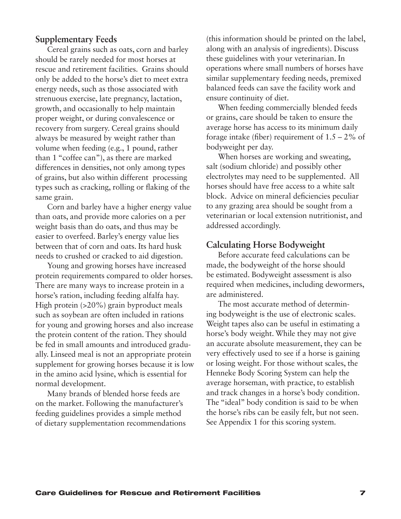### **Supplementary Feeds**

Cereal grains such as oats, corn and barley should be rarely needed for most horses at rescue and retirement facilities. Grains should only be added to the horse's diet to meet extra energy needs, such as those associated with strenuous exercise, late pregnancy, lactation, growth, and occasionally to help maintain proper weight, or during convalescence or recovery from surgery. Cereal grains should always be measured by weight rather than volume when feeding (e.g., 1 pound, rather than 1 "coffee can"), as there are marked differences in densities, not only among types of grains, but also within different processing types such as cracking, rolling or flaking of the same grain.

Corn and barley have a higher energy value than oats, and provide more calories on a per weight basis than do oats, and thus may be easier to overfeed. Barley's energy value lies between that of corn and oats. Its hard husk needs to crushed or cracked to aid digestion.

Young and growing horses have increased protein requirements compared to older horses. There are many ways to increase protein in a horse's ration, including feeding alfalfa hay. High protein (>20%) grain byproduct meals such as soybean are often included in rations for young and growing horses and also increase the protein content of the ration. They should be fed in small amounts and introduced gradually. Linseed meal is not an appropriate protein supplement for growing horses because it is low in the amino acid lysine, which is essential for normal development.

Many brands of blended horse feeds are on the market. Following the manufacturer's feeding guidelines provides a simple method of dietary supplementation recommendations (this information should be printed on the label, along with an analysis of ingredients). Discuss these guidelines with your veterinarian. In operations where small numbers of horses have similar supplementary feeding needs, premixed balanced feeds can save the facility work and ensure continuity of diet.

When feeding commercially blended feeds or grains, care should be taken to ensure the average horse has access to its minimum daily forage intake (fiber) requirement of  $1.5 - 2\%$  of bodyweight per day.

When horses are working and sweating, salt (sodium chloride) and possibly other electrolytes may need to be supplemented. All horses should have free access to a white salt block. Advice on mineral deficiencies peculiar to any grazing area should be sought from a veterinarian or local extension nutritionist, and addressed accordingly.

#### **Calculating Horse Bodyweight**

Before accurate feed calculations can be made, the bodyweight of the horse should be estimated. Bodyweight assessment is also required when medicines, including dewormers, are administered.

The most accurate method of determining bodyweight is the use of electronic scales. Weight tapes also can be useful in estimating a horse's body weight. While they may not give an accurate absolute measurement, they can be very effectively used to see if a horse is gaining or losing weight. For those without scales, the Henneke Body Scoring System can help the average horseman, with practice, to establish and track changes in a horse's body condition. The "ideal" body condition is said to be when the horse's ribs can be easily felt, but not seen. See Appendix 1 for this scoring system.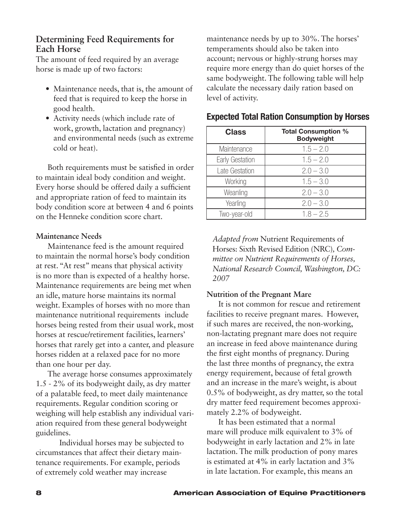## **Determining Feed Requirements for Each Horse**

The amount of feed required by an average horse is made up of two factors:

- Maintenance needs, that is, the amount of feed that is required to keep the horse in good health.
- • Activity needs (which include rate of work, growth, lactation and pregnancy) and environmental needs (such as extreme cold or heat).

Both requirements must be satisfied in order to maintain ideal body condition and weight. Every horse should be offered daily a sufficient and appropriate ration of feed to maintain its body condition score at between 4 and 6 points on the Henneke condition score chart.

### **Maintenance Needs**

Maintenance feed is the amount required to maintain the normal horse's body condition at rest. "At rest" means that physical activity is no more than is expected of a healthy horse. Maintenance requirements are being met when an idle, mature horse maintains its normal weight. Examples of horses with no more than maintenance nutritional requirements include horses being rested from their usual work, most horses at rescue/retirement facilities, learners' horses that rarely get into a canter, and pleasure horses ridden at a relaxed pace for no more than one hour per day.

The average horse consumes approximately 1.5 - 2% of its bodyweight daily, as dry matter of a palatable feed, to meet daily maintenance requirements. Regular condition scoring or weighing will help establish any individual variation required from these general bodyweight guidelines.

Individual horses may be subjected to circumstances that affect their dietary maintenance requirements. For example, periods of extremely cold weather may increase

maintenance needs by up to 30%. The horses' temperaments should also be taken into account; nervous or highly-strung horses may require more energy than do quiet horses of the same bodyweight. The following table will help calculate the necessary daily ration based on level of activity.

| <b>Class</b>    | <b>Total Consumption %</b><br><b>Bodyweight</b> |
|-----------------|-------------------------------------------------|
| Maintenance     | $1.5 - 2.0$                                     |
| Early Gestation | $1.5 - 2.0$                                     |
| Late Gestation  | $2.0 - 3.0$                                     |
| Working         | $1.5 - 3.0$                                     |
| Weanling        | $2.0 - 3.0$                                     |
| Yearling        | $2.0 - 3.0$                                     |
| Two-year-old    | $1.8 - 2.5$                                     |

### Expected Total Ration Consumption by Horses

*Adapted from* Nutrient Requirements of Horses: Sixth Revised Edition (NRC)*, Committee on Nutrient Requirements of Horses, National Research Council, Washington, DC: 2007*

### **Nutrition of the Pregnant Mare**

It is not common for rescue and retirement facilities to receive pregnant mares. However, if such mares are received, the non-working, non-lactating pregnant mare does not require an increase in feed above maintenance during the first eight months of pregnancy. During the last three months of pregnancy, the extra energy requirement, because of fetal growth and an increase in the mare's weight, is about 0.5% of bodyweight, as dry matter, so the total dry matter feed requirement becomes approximately 2.2% of bodyweight.

It has been estimated that a normal mare will produce milk equivalent to 3% of bodyweight in early lactation and 2% in late lactation. The milk production of pony mares is estimated at 4% in early lactation and 3% in late lactation. For example, this means an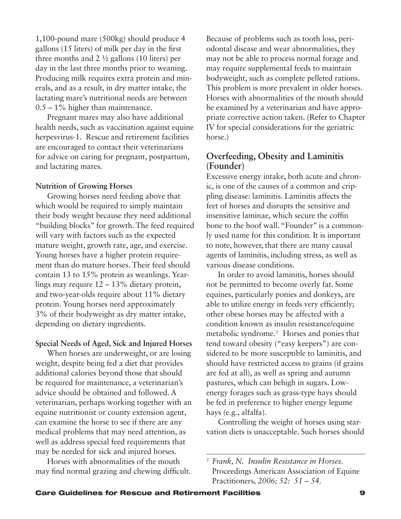1,100-pound mare (500kg) should produce 4 gallons (15 liters) of milk per day in the first three months and 2 ½ gallons (10 liters) per day in the last three months prior to weaning. Producing milk requires extra protein and minerals, and as a result, in dry matter intake, the lactating mare's nutritional needs are between 0.5 – 1% higher than maintenance.

Pregnant mares may also have additional health needs, such as vaccination against equine herpesvirus-1. Rescue and retirement facilities are encouraged to contact their veterinarians for advice on caring for pregnant, postpartum, and lactating mares.

#### **Nutrition of Growing Horses**

Growing horses need feeding above that which would be required to simply maintain their body weight because they need additional "building blocks" for growth. The feed required will vary with factors such as the expected mature weight, growth rate, age, and exercise. Young horses have a higher protein requirement than do mature horses. Their feed should contain 13 to 15% protein as weanlings. Yearlings may require 12 – 13% dietary protein, and two-year-olds require about 11% dietary protein. Young horses need approximately 3% of their bodyweight as dry matter intake, depending on dietary ingredients.

### **Special Needs of Aged, Sick and Injured Horses**

When horses are underweight, or are losing weight, despite being fed a diet that provides additional calories beyond those that should be required for maintenance, a veterinarian's advice should be obtained and followed. A veterinarian, perhaps working together with an equine nutritionist or county extension agent, can examine the horse to see if there are any medical problems that may need attention, as well as address special feed requirements that may be needed for sick and injured horses.

Horses with abnormalities of the mouth may find normal grazing and chewing difficult. Because of problems such as tooth loss, periodontal disease and wear abnormalities, they may not be able to process normal forage and may require supplemental feeds to maintain bodyweight, such as complete pelleted rations. This problem is more prevalent in older horses. Horses with abnormalities of the mouth should be examined by a veterinarian and have appropriate corrective action taken. (Refer to Chapter IV for special considerations for the geriatric horse.)

## **Overfeeding, Obesity and Laminitis (Founder)**

Excessive energy intake, both acute and chronic, is one of the causes of a common and crippling disease: laminitis. Laminitis affects the feet of horses and disrupts the sensitive and insensitive laminae, which secure the coffin bone to the hoof wall. "Founder" is a commonly used name for this condition. It is important to note, however, that there are many causal agents of laminitis, including stress, as well as various disease conditions.

In order to avoid laminitis, horses should not be permitted to become overly fat. Some equines, particularly ponies and donkeys, are able to utilize energy in feeds very efficiently; other obese horses may be affected with a condition known as insulin resistance/equine metabolic syndrome.<sup>3</sup> Horses and ponies that tend toward obesity ("easy keepers") are considered to be more susceptible to laminitis, and should have restricted access to grains (if grains are fed at all), as well as spring and autumn pastures, which can behigh in sugars. Lowenergy forages such as grass-type hays should be fed in preference to higher energy legume hays (e.g., alfalfa).

Controlling the weight of horses using starvation diets is unacceptable. Such horses should

*<sup>3</sup> Frank, N. Insulin Resistance in Horses.*  Proceedings American Association of Equine Practitioners*, 2006; 52: 51 – 54.*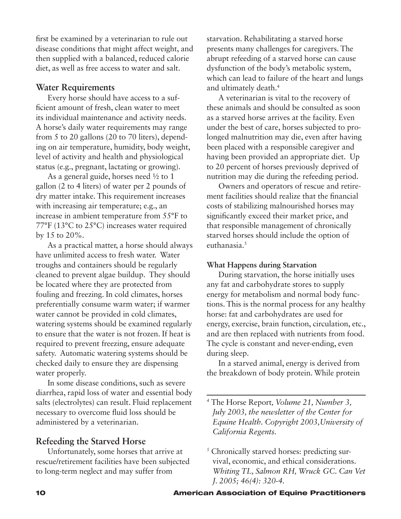first be examined by a veterinarian to rule out disease conditions that might affect weight, and then supplied with a balanced, reduced calorie diet, as well as free access to water and salt.

### **Water Requirements**

Every horse should have access to a sufficient amount of fresh, clean water to meet its individual maintenance and activity needs. A horse's daily water requirements may range from 5 to 20 gallons (20 to 70 liters), depending on air temperature, humidity, body weight, level of activity and health and physiological status (e.g., pregnant, lactating or growing).

As a general guide, horses need ½ to 1 gallon (2 to 4 liters) of water per 2 pounds of dry matter intake. This requirement increases with increasing air temperature; e.g., an increase in ambient temperature from 55°F to 77°F (13°C to 25°C) increases water required by 15 to 20%.

As a practical matter, a horse should always have unlimited access to fresh water. Water troughs and containers should be regularly cleaned to prevent algae buildup. They should be located where they are protected from fouling and freezing. In cold climates, horses preferentially consume warm water; if warmer water cannot be provided in cold climates, watering systems should be examined regularly to ensure that the water is not frozen. If heat is required to prevent freezing, ensure adequate safety. Automatic watering systems should be checked daily to ensure they are dispensing water properly.

In some disease conditions, such as severe diarrhea, rapid loss of water and essential body salts (electrolytes) can result. Fluid replacement necessary to overcome fluid loss should be administered by a veterinarian.

## **Refeeding the Starved Horse**

Unfortunately, some horses that arrive at rescue/retirement facilities have been subjected to long-term neglect and may suffer from

starvation. Rehabilitating a starved horse presents many challenges for caregivers. The abrupt refeeding of a starved horse can cause dysfunction of the body's metabolic system, which can lead to failure of the heart and lungs and ultimately death.<sup>4</sup>

A veterinarian is vital to the recovery of these animals and should be consulted as soon as a starved horse arrives at the facility. Even under the best of care, horses subjected to prolonged malnutrition may die, even after having been placed with a responsible caregiver and having been provided an appropriate diet. Up to 20 percent of horses previously deprived of nutrition may die during the refeeding period.

Owners and operators of rescue and retirement facilities should realize that the financial costs of stabilizing malnourished horses may significantly exceed their market price, and that responsible management of chronically starved horses should include the option of euthanasia. $5$ 

### **What Happens during Starvation**

During starvation, the horse initially uses any fat and carbohydrate stores to supply energy for metabolism and normal body functions. This is the normal process for any healthy horse: fat and carbohydrates are used for energy, exercise, brain function, circulation, etc., and are then replaced with nutrients from food. The cycle is constant and never-ending, even during sleep.

In a starved animal, energy is derived from the breakdown of body protein. While protein

*<sup>4</sup>* The Horse Report*, Volume 21, Number 3, July 2003, the newsletter of the Center for Equine Health. Copyright 2003,University of California Regents.*

*<sup>5</sup>* Chronically starved horses: predicting survival, economic, and ethical considerations. *Whiting TL, Salmon RH, Wruck GC. Can Vet J. 2005; 46(4): 320-4.*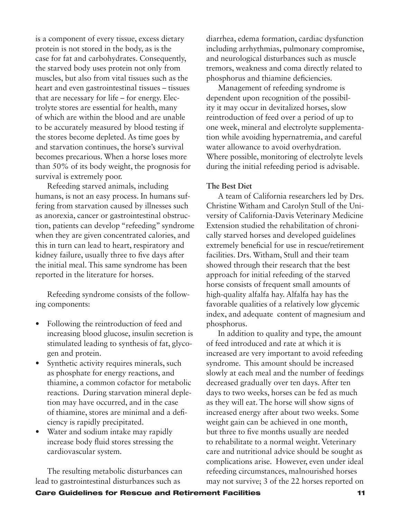is a component of every tissue, excess dietary protein is not stored in the body, as is the case for fat and carbohydrates. Consequently, the starved body uses protein not only from muscles, but also from vital tissues such as the heart and even gastrointestinal tissues – tissues that are necessary for life – for energy. Electrolyte stores are essential for health, many of which are within the blood and are unable to be accurately measured by blood testing if the stores become depleted. As time goes by and starvation continues, the horse's survival becomes precarious. When a horse loses more than 50% of its body weight, the prognosis for survival is extremely poor.

Refeeding starved animals, including humans, is not an easy process. In humans suffering from starvation caused by illnesses such as anorexia, cancer or gastrointestinal obstruction, patients can develop "refeeding" syndrome when they are given concentrated calories, and this in turn can lead to heart, respiratory and kidney failure, usually three to five days after the initial meal. This same syndrome has been reported in the literature for horses.

Refeeding syndrome consists of the following components:

- Following the reintroduction of feed and increasing blood glucose, insulin secretion is stimulated leading to synthesis of fat, glycogen and protein.
- Synthetic activity requires minerals, such as phosphate for energy reactions, and thiamine, a common cofactor for metabolic reactions. During starvation mineral depletion may have occurred, and in the case of thiamine, stores are minimal and a deficiency is rapidly precipitated.
- Water and sodium intake may rapidly increase body fluid stores stressing the cardiovascular system.

The resulting metabolic disturbances can lead to gastrointestinal disturbances such as

diarrhea, edema formation, cardiac dysfunction including arrhythmias, pulmonary compromise, and neurological disturbances such as muscle tremors, weakness and coma directly related to phosphorus and thiamine deficiencies.

Management of refeeding syndrome is dependent upon recognition of the possibility it may occur in devitalized horses, slow reintroduction of feed over a period of up to one week, mineral and electrolyte supplementation while avoiding hypernatremia, and careful water allowance to avoid overhydration. Where possible, monitoring of electrolyte levels during the initial refeeding period is advisable.

### **The Best Diet**

A team of California researchers led by Drs. Christine Witham and Carolyn Stull of the University of California-Davis Veterinary Medicine Extension studied the rehabilitation of chronically starved horses and developed guidelines extremely beneficial for use in rescue/retirement facilities. Drs. Witham, Stull and their team showed through their research that the best approach for initial refeeding of the starved horse consists of frequent small amounts of high-quality alfalfa hay. Alfalfa hay has the favorable qualities of a relatively low glycemic index, and adequate content of magnesium and phosphorus.

In addition to quality and type, the amount of feed introduced and rate at which it is increased are very important to avoid refeeding syndrome. This amount should be increased slowly at each meal and the number of feedings decreased gradually over ten days. After ten days to two weeks, horses can be fed as much as they will eat. The horse will show signs of increased energy after about two weeks. Some weight gain can be achieved in one month, but three to five months usually are needed to rehabilitate to a normal weight. Veterinary care and nutritional advice should be sought as complications arise. However, even under ideal refeeding circumstances, malnourished horses may not survive; 3 of the 22 horses reported on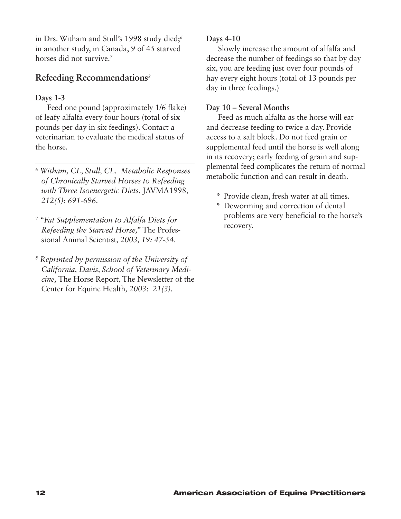in Drs. Witham and Stull's 1998 study died;<sup>6</sup> in another study, in Canada, 9 of 45 starved horses did not survive.<sup>7</sup>

## **Refeeding Recommendations***8***<sup>6</sup>**

## **Days 1-3**

Feed one pound (approximately 1/6 flake) of leafy alfalfa every four hours (total of six pounds per day in six feedings). Contact a veterinarian to evaluate the medical status of the horse.

- *6 Witham, CL, Stull, CL. Metabolic Responses of Chronically Starved Horses to Refeeding with Three Isoenergetic Diets.* JAVMA1998*, 212(5): 691-696.*
- *7 "Fat Supplementation to Alfalfa Diets for Refeeding the Starved Horse,"* The Professional Animal Scientist*, 2003, 19: 47-54.*
- *8 Reprinted by permission of the University of California, Davis, School of Veterinary Medicine,* The Horse Report, The Newsletter of the Center for Equine Health*, 2003: 21(3).*

### **Days 4-10**

Slowly increase the amount of alfalfa and decrease the number of feedings so that by day six, you are feeding just over four pounds of hay every eight hours (total of 13 pounds per day in three feedings.)

### **Day 10 – Several Months**

Feed as much alfalfa as the horse will eat and decrease feeding to twice a day. Provide access to a salt block. Do not feed grain or supplemental feed until the horse is well along in its recovery; early feeding of grain and supplemental feed complicates the return of normal metabolic function and can result in death.

- \* Provide clean, fresh water at all times.
- \* Deworming and correction of dental problems are very beneficial to the horse's recovery.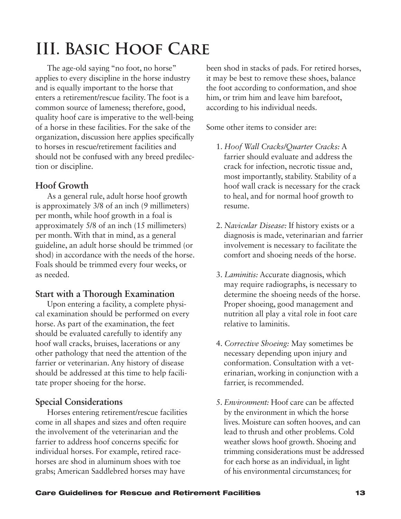# <span id="page-14-0"></span>**III. Basic Hoof Care**

The age-old saying "no foot, no horse" applies to every discipline in the horse industry and is equally important to the horse that enters a retirement/rescue facility. The foot is a common source of lameness; therefore, good, quality hoof care is imperative to the well-being of a horse in these facilities. For the sake of the organization, discussion here applies specifically to horses in rescue/retirement facilities and should not be confused with any breed predilection or discipline.

## **Hoof Growth**

As a general rule, adult horse hoof growth is approximately 3/8 of an inch (9 millimeters) per month, while hoof growth in a foal is approximately 5/8 of an inch (15 millimeters) per month. With that in mind, as a general guideline, an adult horse should be trimmed (or shod) in accordance with the needs of the horse. Foals should be trimmed every four weeks, or as needed.

## **Start with a Thorough Examination**

Upon entering a facility, a complete physical examination should be performed on every horse. As part of the examination, the feet should be evaluated carefully to identify any hoof wall cracks, bruises, lacerations or any other pathology that need the attention of the farrier or veterinarian. Any history of disease should be addressed at this time to help facilitate proper shoeing for the horse.

## **Special Considerations**

Horses entering retirement/rescue facilities come in all shapes and sizes and often require the involvement of the veterinarian and the farrier to address hoof concerns specific for individual horses. For example, retired racehorses are shod in aluminum shoes with toe grabs; American Saddlebred horses may have

been shod in stacks of pads. For retired horses, it may be best to remove these shoes, balance the foot according to conformation, and shoe him, or trim him and leave him barefoot, according to his individual needs.

Some other items to consider are:

- 1. *Hoof Wall Cracks/Quarter Cracks:* A farrier should evaluate and address the crack for infection, necrotic tissue and, most importantly, stability. Stability of a hoof wall crack is necessary for the crack to heal, and for normal hoof growth to resume.
- 2. *Navicular Disease:* If history exists or a diagnosis is made, veterinarian and farrier involvement is necessary to facilitate the comfort and shoeing needs of the horse.
- 3. *Laminitis:* Accurate diagnosis, which may require radiographs, is necessary to determine the shoeing needs of the horse. Proper shoeing, good management and nutrition all play a vital role in foot care relative to laminitis.
- 4. *Corrective Shoeing:* May sometimes be necessary depending upon injury and conformation. Consultation with a veterinarian, working in conjunction with a farrier, is recommended.
- 5. *Environment:* Hoof care can be affected by the environment in which the horse lives. Moisture can soften hooves, and can lead to thrush and other problems. Cold weather slows hoof growth. Shoeing and trimming considerations must be addressed for each horse as an individual, in light of his environmental circumstances; for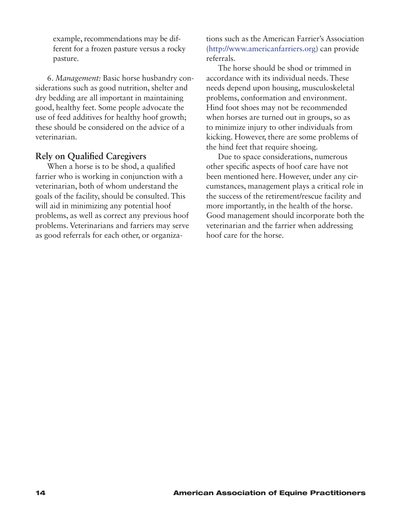example, recommendations may be different for a frozen pasture versus a rocky pasture.

6. *Management:* Basic horse husbandry considerations such as good nutrition, shelter and dry bedding are all important in maintaining good, healthy feet. Some people advocate the use of feed additives for healthy hoof growth; these should be considered on the advice of a veterinarian.

## **Rely on Qualified Caregivers**

When a horse is to be shod, a qualified farrier who is working in conjunction with a veterinarian, both of whom understand the goals of the facility, should be consulted. This will aid in minimizing any potential hoof problems, as well as correct any previous hoof problems. Veterinarians and farriers may serve as good referrals for each other, or organizations such as the American Farrier's Association (http://www.americanfarriers.org) can provide referrals.

The horse should be shod or trimmed in accordance with its individual needs. These needs depend upon housing, musculoskeletal problems, conformation and environment. Hind foot shoes may not be recommended when horses are turned out in groups, so as to minimize injury to other individuals from kicking. However, there are some problems of the hind feet that require shoeing.

Due to space considerations, numerous other specific aspects of hoof care have not been mentioned here. However, under any circumstances, management plays a critical role in the success of the retirement/rescue facility and more importantly, in the health of the horse. Good management should incorporate both the veterinarian and the farrier when addressing hoof care for the horse.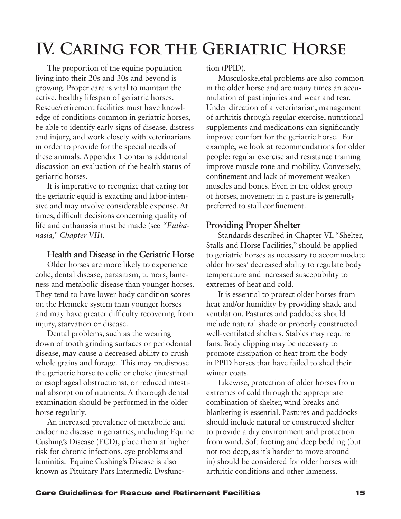# <span id="page-16-0"></span>**IV. Caring for the Geriatric Horse**

The proportion of the equine population living into their 20s and 30s and beyond is growing. Proper care is vital to maintain the active, healthy lifespan of geriatric horses. Rescue/retirement facilities must have knowledge of conditions common in geriatric horses, be able to identify early signs of disease, distress and injury, and work closely with veterinarians in order to provide for the special needs of these animals. Appendix 1 contains additional discussion on evaluation of the health status of geriatric horses.

It is imperative to recognize that caring for the geriatric equid is exacting and labor-intensive and may involve considerable expense. At times, difficult decisions concerning quality of life and euthanasia must be made (see *"Euthanasia," Chapter VII*).

## **Health and Disease in the Geriatric Horse**

Older horses are more likely to experience colic, dental disease, parasitism, tumors, lameness and metabolic disease than younger horses. They tend to have lower body condition scores on the Henneke system than younger horses and may have greater difficulty recovering from injury, starvation or disease.

Dental problems, such as the wearing down of tooth grinding surfaces or periodontal disease, may cause a decreased ability to crush whole grains and forage. This may predispose the geriatric horse to colic or choke (intestinal or esophageal obstructions), or reduced intestinal absorption of nutrients. A thorough dental examination should be performed in the older horse regularly.

An increased prevalence of metabolic and endocrine disease in geriatrics, including Equine Cushing's Disease (ECD), place them at higher risk for chronic infections, eye problems and laminitis. Equine Cushing's Disease is also known as Pituitary Pars Intermedia Dysfunction (PPID).

Musculoskeletal problems are also common in the older horse and are many times an accumulation of past injuries and wear and tear. Under direction of a veterinarian, management of arthritis through regular exercise, nutritional supplements and medications can significantly improve comfort for the geriatric horse. For example, we look at recommendations for older people: regular exercise and resistance training improve muscle tone and mobility. Conversely, confinement and lack of movement weaken muscles and bones. Even in the oldest group of horses, movement in a pasture is generally preferred to stall confinement.

## **Providing Proper Shelter**

Standards described in Chapter VI, "Shelter, Stalls and Horse Facilities," should be applied to geriatric horses as necessary to accommodate older horses' decreased ability to regulate body temperature and increased susceptibility to extremes of heat and cold.

It is essential to protect older horses from heat and/or humidity by providing shade and ventilation. Pastures and paddocks should include natural shade or properly constructed well-ventilated shelters. Stables may require fans. Body clipping may be necessary to promote dissipation of heat from the body in PPID horses that have failed to shed their winter coats.

Likewise, protection of older horses from extremes of cold through the appropriate combination of shelter, wind breaks and blanketing is essential. Pastures and paddocks should include natural or constructed shelter to provide a dry environment and protection from wind. Soft footing and deep bedding (but not too deep, as it's harder to move around in) should be considered for older horses with arthritic conditions and other lameness.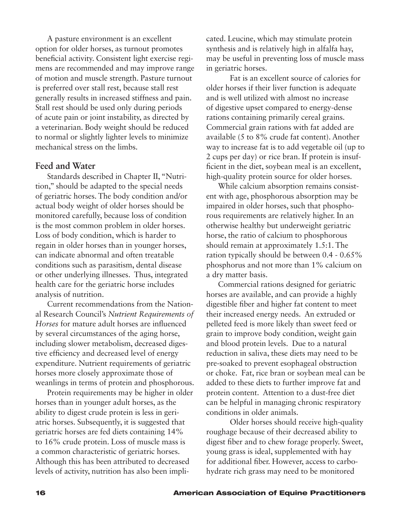A pasture environment is an excellent option for older horses, as turnout promotes beneficial activity. Consistent light exercise regimens are recommended and may improve range of motion and muscle strength. Pasture turnout is preferred over stall rest, because stall rest generally results in increased stiffness and pain. Stall rest should be used only during periods of acute pain or joint instability, as directed by a veterinarian. Body weight should be reduced to normal or slightly lighter levels to minimize mechanical stress on the limbs.

### **Feed and Water**

Standards described in Chapter II, "Nutrition," should be adapted to the special needs of geriatric horses. The body condition and/or actual body weight of older horses should be monitored carefully, because loss of condition is the most common problem in older horses. Loss of body condition, which is harder to regain in older horses than in younger horses, can indicate abnormal and often treatable conditions such as parasitism, dental disease or other underlying illnesses. Thus, integrated health care for the geriatric horse includes analysis of nutrition.

Current recommendations from the National Research Council's *Nutrient Requirements of Horses* for mature adult horses are influenced by several circumstances of the aging horse, including slower metabolism, decreased digestive efficiency and decreased level of energy expenditure. Nutrient requirements of geriatric horses more closely approximate those of weanlings in terms of protein and phosphorous.

Protein requirements may be higher in older horses than in younger adult horses, as the ability to digest crude protein is less in geriatric horses. Subsequently, it is suggested that geriatric horses are fed diets containing 14% to 16% crude protein. Loss of muscle mass is a common characteristic of geriatric horses. Although this has been attributed to decreased levels of activity, nutrition has also been implicated. Leucine, which may stimulate protein synthesis and is relatively high in alfalfa hay, may be useful in preventing loss of muscle mass in geriatric horses.

Fat is an excellent source of calories for older horses if their liver function is adequate and is well utilized with almost no increase of digestive upset compared to energy-dense rations containing primarily cereal grains. Commercial grain rations with fat added are available (5 to 8% crude fat content). Another way to increase fat is to add vegetable oil (up to 2 cups per day) or rice bran. If protein is insufficient in the diet, soybean meal is an excellent, high-quality protein source for older horses.

While calcium absorption remains consistent with age, phosphorous absorption may be impaired in older horses, such that phosphorous requirements are relatively higher. In an otherwise healthy but underweight geriatric horse, the ratio of calcium to phosphorous should remain at approximately 1.5:1. The ration typically should be between 0.4 - 0.65% phosphorus and not more than 1% calcium on a dry matter basis.

Commercial rations designed for geriatric horses are available, and can provide a highly digestible fiber and higher fat content to meet their increased energy needs. An extruded or pelleted feed is more likely than sweet feed or grain to improve body condition, weight gain and blood protein levels. Due to a natural reduction in saliva, these diets may need to be pre-soaked to prevent esophageal obstruction or choke. Fat, rice bran or soybean meal can be added to these diets to further improve fat and protein content. Attention to a dust-free diet can be helpful in managing chronic respiratory conditions in older animals.

Older horses should receive high-quality roughage because of their decreased ability to digest fiber and to chew forage properly. Sweet, young grass is ideal, supplemented with hay for additional fiber. However, access to carbohydrate rich grass may need to be monitored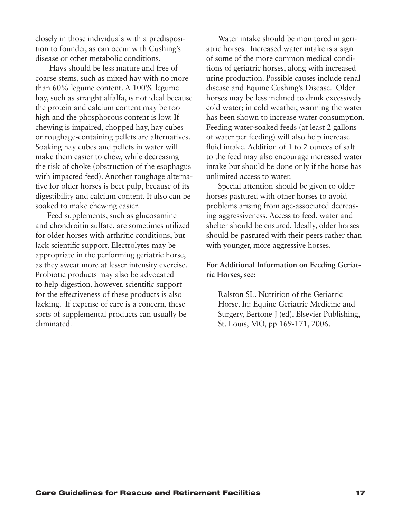closely in those individuals with a predisposition to founder, as can occur with Cushing's disease or other metabolic conditions.

 Hays should be less mature and free of coarse stems, such as mixed hay with no more than 60% legume content. A 100% legume hay, such as straight alfalfa, is not ideal because the protein and calcium content may be too high and the phosphorous content is low. If chewing is impaired, chopped hay, hay cubes or roughage-containing pellets are alternatives. Soaking hay cubes and pellets in water will make them easier to chew, while decreasing the risk of choke (obstruction of the esophagus with impacted feed). Another roughage alternative for older horses is beet pulp, because of its digestibility and calcium content. It also can be soaked to make chewing easier.

Feed supplements, such as glucosamine and chondroitin sulfate, are sometimes utilized for older horses with arthritic conditions, but lack scientific support. Electrolytes may be appropriate in the performing geriatric horse, as they sweat more at lesser intensity exercise. Probiotic products may also be advocated to help digestion, however, scientific support for the effectiveness of these products is also lacking. If expense of care is a concern, these sorts of supplemental products can usually be eliminated.

Water intake should be monitored in geriatric horses. Increased water intake is a sign of some of the more common medical conditions of geriatric horses, along with increased urine production. Possible causes include renal disease and Equine Cushing's Disease. Older horses may be less inclined to drink excessively cold water; in cold weather, warming the water has been shown to increase water consumption. Feeding water-soaked feeds (at least 2 gallons of water per feeding) will also help increase fluid intake. Addition of 1 to 2 ounces of salt to the feed may also encourage increased water intake but should be done only if the horse has unlimited access to water.

Special attention should be given to older horses pastured with other horses to avoid problems arising from age-associated decreasing aggressiveness. Access to feed, water and shelter should be ensured. Ideally, older horses should be pastured with their peers rather than with younger, more aggressive horses.

### **For Additional Information on Feeding Geriatric Horses, see:**

Ralston SL. Nutrition of the Geriatric Horse. In: Equine Geriatric Medicine and Surgery, Bertone J (ed), Elsevier Publishing, St. Louis, MO, pp 169-171, 2006.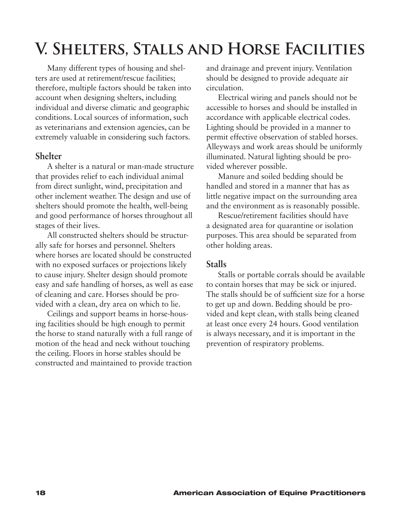# <span id="page-19-0"></span>**V. Shelters, Stalls and Horse Facilities**

Many different types of housing and shelters are used at retirement/rescue facilities; therefore, multiple factors should be taken into account when designing shelters, including individual and diverse climatic and geographic conditions. Local sources of information, such as veterinarians and extension agencies, can be extremely valuable in considering such factors.

### **Shelter**

A shelter is a natural or man-made structure that provides relief to each individual animal from direct sunlight, wind, precipitation and other inclement weather. The design and use of shelters should promote the health, well-being and good performance of horses throughout all stages of their lives.

All constructed shelters should be structurally safe for horses and personnel. Shelters where horses are located should be constructed with no exposed surfaces or projections likely to cause injury. Shelter design should promote easy and safe handling of horses, as well as ease of cleaning and care. Horses should be provided with a clean, dry area on which to lie.

Ceilings and support beams in horse-housing facilities should be high enough to permit the horse to stand naturally with a full range of motion of the head and neck without touching the ceiling. Floors in horse stables should be constructed and maintained to provide traction and drainage and prevent injury. Ventilation should be designed to provide adequate air circulation.

Electrical wiring and panels should not be accessible to horses and should be installed in accordance with applicable electrical codes. Lighting should be provided in a manner to permit effective observation of stabled horses. Alleyways and work areas should be uniformly illuminated. Natural lighting should be provided wherever possible.

Manure and soiled bedding should be handled and stored in a manner that has as little negative impact on the surrounding area and the environment as is reasonably possible.

Rescue/retirement facilities should have a designated area for quarantine or isolation purposes. This area should be separated from other holding areas.

## **Stalls**

Stalls or portable corrals should be available to contain horses that may be sick or injured. The stalls should be of sufficient size for a horse to get up and down. Bedding should be provided and kept clean, with stalls being cleaned at least once every 24 hours. Good ventilation is always necessary, and it is important in the prevention of respiratory problems.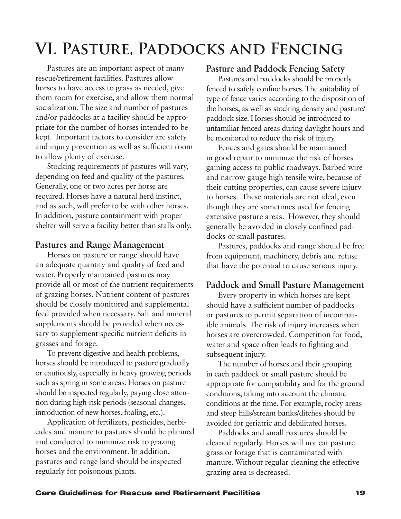# <span id="page-20-0"></span>**VI. Pasture, Paddocks and Fencing**

Pastures are an important aspect of many rescue/retirement facilities. Pastures allow horses to have access to grass as needed, give them room for exercise, and allow them normal socialization. The size and number of pastures and/or paddocks at a facility should be appropriate for the number of horses intended to be kept. Important factors to consider are safety and injury prevention as well as sufficient room to allow plenty of exercise.

Stocking requirements of pastures will vary, depending on feed and quality of the pastures. Generally, one or two acres per horse are required. Horses have a natural herd instinct, and as such, will prefer to be with other horses. In addition, pasture containment with proper shelter will serve a facility better than stalls only.

## **Pastures and Range Management**

Horses on pasture or range should have an adequate quantity and quality of feed and water. Properly maintained pastures may provide all or most of the nutrient requirements of grazing horses. Nutrient content of pastures should be closely monitored and supplemental feed provided when necessary. Salt and mineral supplements should be provided when necessary to supplement specific nutrient deficits in grasses and forage.

To prevent digestive and health problems, horses should be introduced to pasture gradually or cautiously, especially in heavy growing periods such as spring in some areas. Horses on pasture should be inspected regularly, paying close attention during high-risk periods (seasonal changes, introduction of new horses, foaling, etc.).

Application of fertilizers, pesticides, herbicides and manure to pastures should be planned and conducted to minimize risk to grazing horses and the environment. In addition, pastures and range land should be inspected regularly for poisonous plants.

### **Pasture and Paddock Fencing Safety**

Pastures and paddocks should be properly fenced to safely confine horses. The suitability of type of fence varies according to the disposition of the horses, as well as stocking density and pasture/ paddock size. Horses should be introduced to unfamiliar fenced areas during daylight hours and be monitored to reduce the risk of injury.

Fences and gates should be maintained in good repair to minimize the risk of horses gaining access to public roadways. Barbed wire and narrow gauge high tensile wire, because of their cutting properties, can cause severe injury to horses. These materials are not ideal, even though they are sometimes used for fencing extensive pasture areas. However, they should generally be avoided in closely confined paddocks or small pastures.

Pastures, paddocks and range should be free from equipment, machinery, debris and refuse that have the potential to cause serious injury.

## **Paddock and Small Pasture Management**

Every property in which horses are kept should have a sufficient number of paddocks or pastures to permit separation of incompatible animals. The risk of injury increases when horses are overcrowded. Competition for food, water and space often leads to fighting and subsequent injury.

The number of horses and their grouping in each paddock or small pasture should be appropriate for compatibility and for the ground conditions, taking into account the climatic conditions at the time. For example, rocky areas and steep hills/stream banks/ditches should be avoided for geriatric and debilitated horses.

Paddocks and small pastures should be cleaned regularly. Horses will not eat pasture grass or forage that is contaminated with manure. Without regular cleaning the effective grazing area is decreased.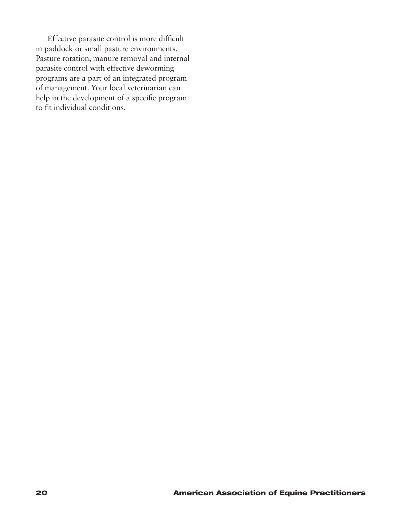Effective parasite control is more difficult in paddock or small pasture environments. Pasture rotation, manure removal and internal parasite control with effective deworming programs are a part of an integrated program of management. Your local veterinarian can help in the development of a specific program to fit individual conditions.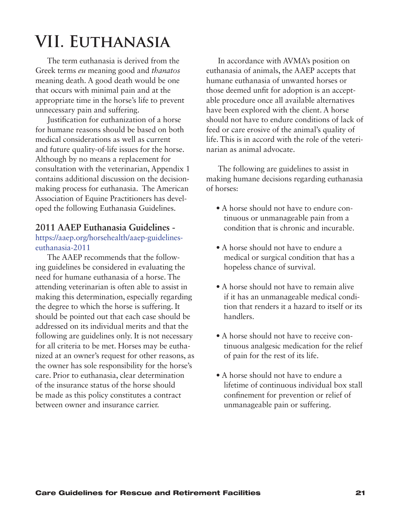# <span id="page-22-0"></span>**VII. Euthanasia**

The term euthanasia is derived from the Greek terms *eu* meaning good and *thanatos* meaning death. A good death would be one that occurs with minimal pain and at the appropriate time in the horse's life to prevent unnecessary pain and suffering.

Justification for euthanization of a horse for humane reasons should be based on both medical considerations as well as current and future quality-of-life issues for the horse. Although by no means a replacement for consultation with the veterinarian, Appendix 1 contains additional discussion on the decisionmaking process for euthanasia. The American Association of Equine Practitioners has developed the following Euthanasia Guidelines.

### **2011 AAEP Euthanasia Guidelines -**

### https://aaep.org/horsehealth/aaep-guidelineseuthanasia-2011

The AAEP recommends that the following guidelines be considered in evaluating the need for humane euthanasia of a horse. The attending veterinarian is often able to assist in making this determination, especially regarding the degree to which the horse is suffering. It should be pointed out that each case should be addressed on its individual merits and that the following are guidelines only. It is not necessary for all criteria to be met. Horses may be euthanized at an owner's request for other reasons, as the owner has sole responsibility for the horse's care. Prior to euthanasia, clear determination of the insurance status of the horse should be made as this policy constitutes a contract between owner and insurance carrier.

In accordance with AVMA's position on euthanasia of animals, the AAEP accepts that humane euthanasia of unwanted horses or those deemed unfit for adoption is an acceptable procedure once all available alternatives have been explored with the client. A horse should not have to endure conditions of lack of feed or care erosive of the animal's quality of life. This is in accord with the role of the veterinarian as animal advocate.

The following are guidelines to assist in making humane decisions regarding euthanasia of horses:

- A horse should not have to endure continuous or unmanageable pain from a condition that is chronic and incurable.
- A horse should not have to endure a medical or surgical condition that has a hopeless chance of survival.
- A horse should not have to remain alive if it has an unmanageable medical condition that renders it a hazard to itself or its handlers.
- A horse should not have to receive continuous analgesic medication for the relief of pain for the rest of its life.
- A horse should not have to endure a lifetime of continuous individual box stall confinement for prevention or relief of unmanageable pain or suffering.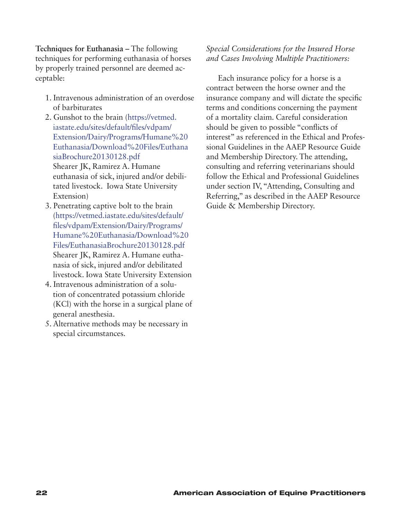**Techniques for Euthanasia –** The following techniques for performing euthanasia of horses by properly trained personnel are deemed acceptable:

- 1. Intravenous administration of an overdose of barbiturates
- 2. Gunshot to the brain (https://vetmed. iastate.edu/sites/default/files/vdpam/ Extension/Dairy/Programs/Humane%20 [Euthanasia/Download%20Files/Euthana](https://vetmed.iastate.edu/sites/default/files/vdpam/Extension/Dairy/Programs/Humane%20Euthanasia/Download%20Files/EuthanasiaBrochure20130128.pdf) siaBrochure20130128.pdf Shearer JK, Ramirez A. Humane euthanasia of sick, injured and/or debilitated livestock. Iowa State University Extension)
- 3. Penetrating captive bolt to the brain (https://vetmed.iastate.edu/sites/default/ files/vdpam/Extension/Dairy/Programs/ Humane%20Euthanasia/Download%20 Files/EuthanasiaBrochure20130128.pdf Shearer JK, Ramirez A. Humane euthanasia of sick, injured and/or debilitated [livestock. Iowa State University Extension](https://vetmed.iastate.edu/sites/default/files/vdpam/Extension/Dairy/Programs/Humane%20Euthanasia/Download%20Files/EuthanasiaBrochure20130128.pdf)
- 4. Intravenous administration of a solution of concentrated potassium chloride (KCl) with the horse in a surgical plane of general anesthesia.
- 5. Alternative methods may be necessary in special circumstances.

## *Special Considerations for the Insured Horse and Cases Involving Multiple Practitioners:*

Each insurance policy for a horse is a contract between the horse owner and the insurance company and will dictate the specific terms and conditions concerning the payment of a mortality claim. Careful consideration should be given to possible "conflicts of interest" as referenced in the Ethical and Professional Guidelines in the AAEP Resource Guide and Membership Directory. The attending, consulting and referring veterinarians should follow the Ethical and Professional Guidelines under section IV, "Attending, Consulting and Referring," as described in the AAEP Resource Guide & Membership Directory.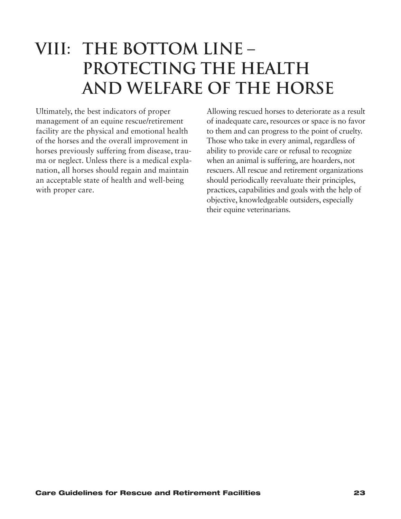## <span id="page-24-0"></span>**VIII: THE BOTTOM LINE – PROTECTING THE HEALTH AND WELFARE OF THE HORSE**

Ultimately, the best indicators of proper management of an equine rescue/retirement facility are the physical and emotional health of the horses and the overall improvement in horses previously suffering from disease, trauma or neglect. Unless there is a medical explanation, all horses should regain and maintain an acceptable state of health and well-being with proper care.

Allowing rescued horses to deteriorate as a result of inadequate care, resources or space is no favor to them and can progress to the point of cruelty. Those who take in every animal, regardless of ability to provide care or refusal to recognize when an animal is suffering, are hoarders, not rescuers. All rescue and retirement organizations should periodically reevaluate their principles, practices, capabilities and goals with the help of objective, knowledgeable outsiders, especially their equine veterinarians.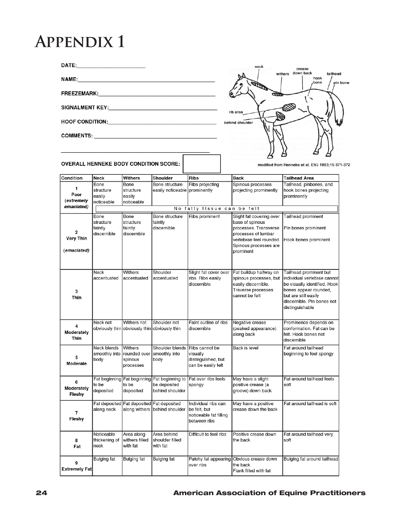## <span id="page-25-0"></span>**Appendix 1**

FREEZEMARK: The Contract of the Contract of the Contract of the Contract of the Contract of the Contract of the Contract of the Contract of the Contract of the Contract of the Contract of the Contract of the Contract of th

HOOF CONDITION: NOTE: The Second Second Second Second Second Second Second Second Second Second Second Second Second Second Second Second Second Second Second Second Second Second Second Second Second Second Second Second

COMMENTS: \_\_\_\_\_\_\_\_\_\_\_\_\_\_\_\_



**OVERALL HENNEKE BODY CONDITION SCORE:** 

NAME: NAME AND A STRAIGHT AND A STRAIGHT AND A STRAIGHT AND A STRAIGHT AND A STRAIGHT AND A STRAIGHT AND A STRAIGHT AND A STRAIGHT AND A STRAIGHT AND A STRAIGHT AND A STRAIGHT AND A STRAIGHT AND A STRAIGHT AND A STRAIGHT A

modified from Henneke et al. EVJ 1983;15:371-372

| Condition                     | Neck                                        | Withers                                                     | Shoulder                                            | <b>Ribs</b>                                                                   | <b>Back</b>                                                                                                                                                  | <b>Tailhead Area</b>                                                                                                                                                                    |  |  |
|-------------------------------|---------------------------------------------|-------------------------------------------------------------|-----------------------------------------------------|-------------------------------------------------------------------------------|--------------------------------------------------------------------------------------------------------------------------------------------------------------|-----------------------------------------------------------------------------------------------------------------------------------------------------------------------------------------|--|--|
| 1.<br>Poor<br>(extremely      | Bone<br>structure<br>easily<br>noticeable   | Bone<br>structure<br>easily<br>noticeable                   | Bone structure<br>easily noticeable                 | Ribs projecting<br>prominently                                                | Spinous processes<br>projecting prominently                                                                                                                  | Tailhead, pinbones, and<br>hook bones projecting<br>prominently                                                                                                                         |  |  |
| emaciated)                    | be felt<br>No fatty tissue<br>can           |                                                             |                                                     |                                                                               |                                                                                                                                                              |                                                                                                                                                                                         |  |  |
| 2<br>Very Thin<br>(emaciated) | Bone<br>structure<br>faintly<br>discernible | Bone<br>structure<br>faintly<br>discernible                 | Bone structure<br>faintly<br>discernible            | Ribs prominent                                                                | Slight fat covering over<br>base of spinous<br>processes. Transverse<br>processes of lumbar<br>vertebrae feel rounded.<br>Spinous processes are<br>prominent | Tailhead prominent<br>Pin bones prominent<br>Hook bones prominent                                                                                                                       |  |  |
| 3<br>Thin                     | Neck<br>accentuated                         | Withers<br>accentuated                                      | Shoulder<br>accentuated                             | Slight fat cover over<br>ribs. Ribs easily<br>discernible                     | Fat buildup halfway on<br>spinous processes, but<br>easily discernible.<br>Traverse processes<br>cannot be felt                                              | Tailhead prominent but<br>individual vertebrae cannot<br>be visually identified. Hook<br>bones appear rounded,<br>but are still easily<br>discernible. Pin bones not<br>distinguishable |  |  |
| 4<br>Moderately<br>Thin       | Neck not                                    | Withers not<br>obviously thin obviously thin obviously thin | Shoulder not                                        | Faint outline of ribs<br>discernible                                          | Negative crease<br>(peaked appearance)<br>along back                                                                                                         | Prominence depends on<br>conformation. Fat can be<br>felt. Hook bones not<br>discernible                                                                                                |  |  |
| 5<br>Moderate                 | Neck blends<br>smoothly into<br>body        | Withers<br>rounded over<br>spinous<br>processes             | Shoulder blends<br>smoothly into<br>body            | Ribs cannot be<br>visually<br>distinguished, but<br>can be easily felt        | Back is level                                                                                                                                                | Fat around tailhead<br>beginning to feel spongy                                                                                                                                         |  |  |
| 6<br>Moderately<br>Fleshy     | Fat beginning<br>to be<br>deposited         | Fat beginning<br>to be<br>deposited                         | Fat beginning to<br>be deposited<br>behind shoulder | Fat over ribs feels<br>spongy                                                 | May have a slight<br>positive crease (a<br>groove) down back                                                                                                 | Fat around tailhead feels<br>soft                                                                                                                                                       |  |  |
| 7<br>Fleshy                   | Fat deposited<br>along neck                 | Fat deposited<br>along withers                              | Fat deposited<br>behind shoulder                    | Individual ribs can<br>be felt, but<br>noticeable fat filling<br>between ribs | May have a positive<br>crease down the back                                                                                                                  | Fat around tailhead is soft                                                                                                                                                             |  |  |
| 8<br>Fat                      | Noticeable<br>thickening of<br>neck         | Area along<br>withers filled<br>with fat                    | Area behind<br>shoulder filled<br>with fat          | Difficult to feel ribs                                                        | Positive crease down<br>the back                                                                                                                             | Fat around tailhead very<br>soft                                                                                                                                                        |  |  |
| 9<br>Extremely Fat            | Bulging fat                                 | <b>Bulging fat</b>                                          | <b>Bulging fat</b>                                  | over ribs                                                                     | Patchy fat appearing Obvious crease down<br>the back<br>Flank filled with fat                                                                                | Bulging fat around tailhead                                                                                                                                                             |  |  |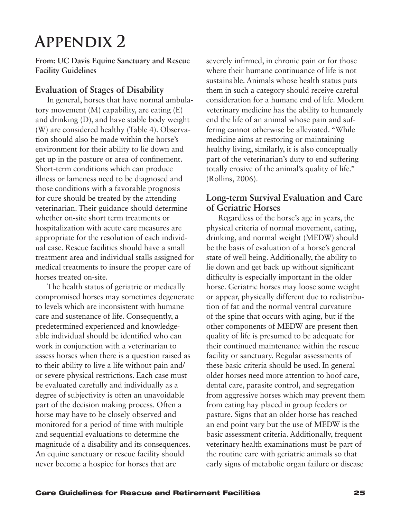## <span id="page-26-0"></span>**Appendix 2**

**From: UC Davis Equine Sanctuary and Rescue Facility Guidelines**

## **Evaluation of Stages of Disability**

In general, horses that have normal ambulatory movement (M) capability, are eating (E) and drinking (D), and have stable body weight (W) are considered healthy (Table 4). Observation should also be made within the horse's environment for their ability to lie down and get up in the pasture or area of confinement. Short-term conditions which can produce illness or lameness need to be diagnosed and those conditions with a favorable prognosis for cure should be treated by the attending veterinarian. Their guidance should determine whether on-site short term treatments or hospitalization with acute care measures are appropriate for the resolution of each individual case. Rescue facilities should have a small treatment area and individual stalls assigned for medical treatments to insure the proper care of horses treated on-site.

The health status of geriatric or medically compromised horses may sometimes degenerate to levels which are inconsistent with humane care and sustenance of life. Consequently, a predetermined experienced and knowledgeable individual should be identified who can work in conjunction with a veterinarian to assess horses when there is a question raised as to their ability to live a life without pain and/ or severe physical restrictions. Each case must be evaluated carefully and individually as a degree of subjectivity is often an unavoidable part of the decision making process. Often a horse may have to be closely observed and monitored for a period of time with multiple and sequential evaluations to determine the magnitude of a disability and its consequences. An equine sanctuary or rescue facility should never become a hospice for horses that are

severely infirmed, in chronic pain or for those where their humane continuance of life is not sustainable. Animals whose health status puts them in such a category should receive careful consideration for a humane end of life. Modern veterinary medicine has the ability to humanely end the life of an animal whose pain and suffering cannot otherwise be alleviated. "While medicine aims at restoring or maintaining healthy living, similarly, it is also conceptually part of the veterinarian's duty to end suffering totally erosive of the animal's quality of life." (Rollins, 2006).

## **Long-term Survival Evaluation and Care of Geriatric Horses**

Regardless of the horse's age in years, the physical criteria of normal movement, eating, drinking, and normal weight (MEDW) should be the basis of evaluation of a horse's general state of well being. Additionally, the ability to lie down and get back up without significant difficulty is especially important in the older horse. Geriatric horses may loose some weight or appear, physically different due to redistribution of fat and the normal ventral curvature of the spine that occurs with aging, but if the other components of MEDW are present then quality of life is presumed to be adequate for their continued maintenance within the rescue facility or sanctuary. Regular assessments of these basic criteria should be used. In general older horses need more attention to hoof care, dental care, parasite control, and segregation from aggressive horses which may prevent them from eating hay placed in group feeders or pasture. Signs that an older horse has reached an end point vary but the use of MEDW is the basic assessment criteria. Additionally, frequent veterinary health examinations must be part of the routine care with geriatric animals so that early signs of metabolic organ failure or disease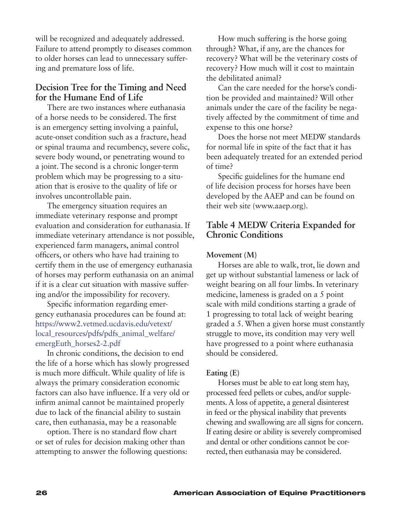will be recognized and adequately addressed. Failure to attend promptly to diseases common to older horses can lead to unnecessary suffering and premature loss of life.

## **Decision Tree for the Timing and Need for the Humane End of Life**

There are two instances where euthanasia of a horse needs to be considered. The first is an emergency setting involving a painful, acute-onset condition such as a fracture, head or spinal trauma and recumbency, severe colic, severe body wound, or penetrating wound to a joint. The second is a chronic longer-term problem which may be progressing to a situation that is erosive to the quality of life or involves uncontrollable pain.

The emergency situation requires an immediate veterinary response and prompt evaluation and consideration for euthanasia. If immediate veterinary attendance is not possible, experienced farm managers, animal control officers, or others who have had training to certify them in the use of emergency euthanasia of horses may perform euthanasia on an animal if it is a clear cut situation with massive suffering and/or the impossibility for recovery.

Specific information regarding emergency euthanasia procedures can be found at: https://www2.vetmed.ucdavis.edu/vetext/ local\_resources/pdfs/pdfs\_animal\_welfare/ emergEuth\_horses2-2.pdf

In chronic conditions, the decision to end the life of a horse which has slowly progressed is much more difficult. While quality of life is always the primary consideration economic factors can also have influence. If a very old or infirm animal cannot be maintained properly due to lack of the financial ability to sustain care, then euthanasia, may be a reasonable

option. There is no standard flow chart or set of rules for decision making other than attempting to answer the following questions:

How much suffering is the horse going through? What, if any, are the chances for recovery? What will be the veterinary costs of recovery? How much will it cost to maintain the debilitated animal?

Can the care needed for the horse's condition be provided and maintained? Will other animals under the care of the facility be negatively affected by the commitment of time and expense to this one horse?

Does the horse not meet MEDW standards for normal life in spite of the fact that it has been adequately treated for an extended period of time?

Specific guidelines for the humane end of life decision process for horses have been developed by the AAEP and can be found on their web site (www.aaep.org).

## **Table 4 MEDW Criteria Expanded for Chronic Conditions**

#### **Movement (M)**

Horses are able to walk, trot, lie down and get up without substantial lameness or lack of weight bearing on all four limbs. In veterinary medicine, lameness is graded on a 5 point scale with mild conditions starting a grade of 1 progressing to total lack of weight bearing graded a 5. When a given horse must constantly struggle to move, its condition may very well have progressed to a point where euthanasia should be considered.

#### **Eating (E)**

Horses must be able to eat long stem hay, processed feed pellets or cubes, and/or supplements. A loss of appetite, a general disinterest in feed or the physical inability that prevents chewing and swallowing are all signs for concern. If eating desire or ability is severely compromised and dental or other conditions cannot be corrected, then euthanasia may be considered.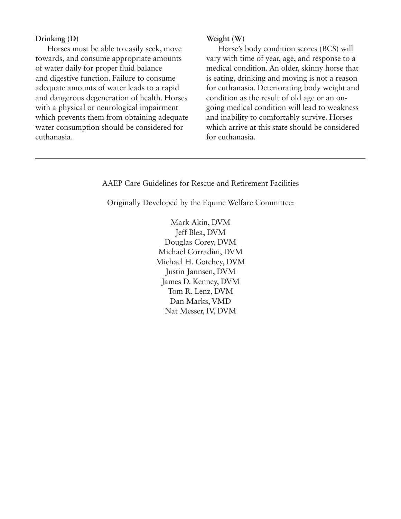#### **Drinking (D)**

Horses must be able to easily seek, move towards, and consume appropriate amounts of water daily for proper fluid balance and digestive function. Failure to consume adequate amounts of water leads to a rapid and dangerous degeneration of health. Horses with a physical or neurological impairment which prevents them from obtaining adequate water consumption should be considered for euthanasia.

#### **Weight (W)**

Horse's body condition scores (BCS) will vary with time of year, age, and response to a medical condition. An older, skinny horse that is eating, drinking and moving is not a reason for euthanasia. Deteriorating body weight and condition as the result of old age or an ongoing medical condition will lead to weakness and inability to comfortably survive. Horses which arrive at this state should be considered for euthanasia.

#### AAEP Care Guidelines for Rescue and Retirement Facilities

Originally Developed by the Equine Welfare Committee:

Mark Akin, DVM Jeff Blea, DVM Douglas Corey, DVM Michael Corradini, DVM Michael H. Gotchey, DVM Justin Jannsen, DVM James D. Kenney, DVM Tom R. Lenz, DVM Dan Marks, VMD Nat Messer, IV, DVM